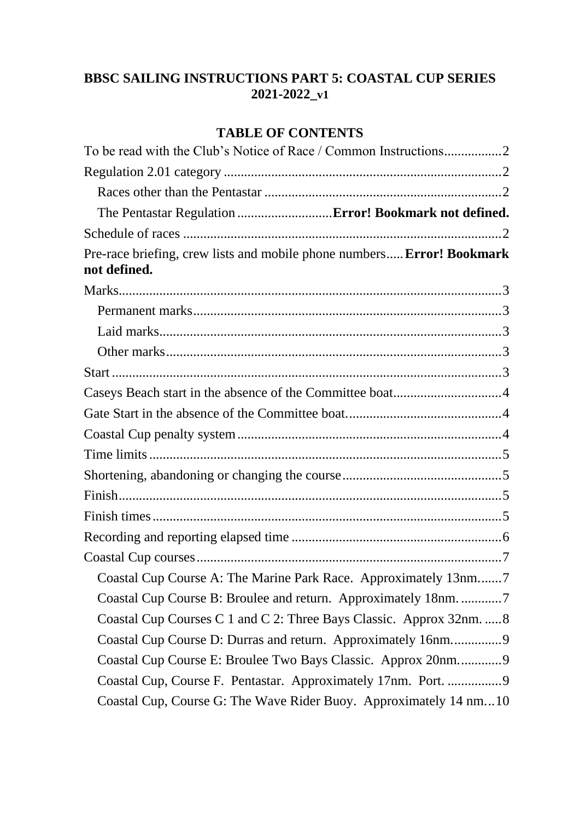# **BBSC SAILING INSTRUCTIONS PART 5: COASTAL CUP SERIES 2021-2022\_v1**

# **TABLE OF CONTENTS**

| Pre-race briefing, crew lists and mobile phone numbers Error! Bookmark<br>not defined. |
|----------------------------------------------------------------------------------------|
|                                                                                        |
|                                                                                        |
|                                                                                        |
|                                                                                        |
|                                                                                        |
|                                                                                        |
|                                                                                        |
|                                                                                        |
|                                                                                        |
|                                                                                        |
|                                                                                        |
|                                                                                        |
|                                                                                        |
|                                                                                        |
| Coastal Cup Course A: The Marine Park Race. Approximately 13nm7                        |
|                                                                                        |
| Coastal Cup Courses C 1 and C 2: Three Bays Classic. Approx 32nm.  8                   |
| Coastal Cup Course D: Durras and return. Approximately 16nm9                           |
| Coastal Cup Course E: Broulee Two Bays Classic. Approx 20nm9                           |
| Coastal Cup, Course F. Pentastar. Approximately 17nm. Port. 9                          |
| Coastal Cup, Course G: The Wave Rider Buoy. Approximately 14 nm10                      |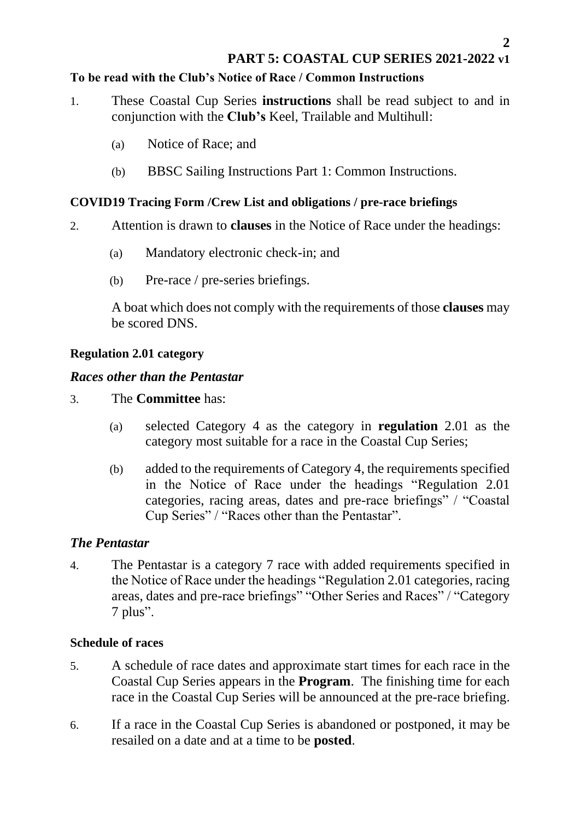# **PART 5: COASTAL CUP SERIES 2021-2022 v1**

#### <span id="page-1-0"></span>**To be read with the Club's Notice of Race / Common Instructions**

- 1. These Coastal Cup Series **instructions** shall be read subject to and in conjunction with the **Club's** Keel, Trailable and Multihull:
	- (a) Notice of Race; and
	- (b) BBSC Sailing Instructions Part 1: Common Instructions.

#### <span id="page-1-1"></span>**COVID19 Tracing Form /Crew List and obligations / pre-race briefings**

- 2. Attention is drawn to **clauses** in the Notice of Race under the headings:
	- (a) Mandatory electronic check-in; and
	- (b) Pre-race / pre-series briefings.

A boat which does not comply with the requirements of those **clauses** may be scored DNS.

#### **Regulation 2.01 category**

### <span id="page-1-2"></span>*Races other than the Pentastar*

- 3. The **Committee** has:
	- (a) selected Category 4 as the category in **regulation** 2.01 as the category most suitable for a race in the Coastal Cup Series;
	- (b) added to the requirements of Category 4, the requirements specified in the Notice of Race under the headings "Regulation 2.01 categories, racing areas, dates and pre-race briefings" / "Coastal Cup Series" / "Races other than the Pentastar".

# *The Pentastar*

4. The Pentastar is a category 7 race with added requirements specified in the Notice of Race under the headings "Regulation 2.01 categories, racing areas, dates and pre-race briefings" "Other Series and Races" / "Category 7 plus".

#### <span id="page-1-3"></span>**Schedule of races**

- 5. A schedule of race dates and approximate start times for each race in the Coastal Cup Series appears in the **Program**. The finishing time for each race in the Coastal Cup Series will be announced at the pre-race briefing.
- 6. If a race in the Coastal Cup Series is abandoned or postponed, it may be resailed on a date and at a time to be **posted**.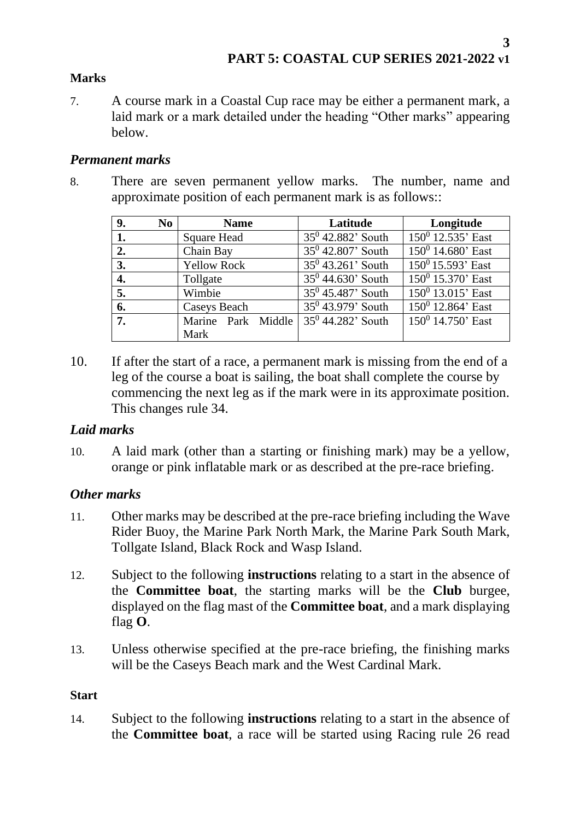#### <span id="page-2-0"></span>**Marks**

7. A course mark in a Coastal Cup race may be either a permanent mark, a laid mark or a mark detailed under the heading "Other marks" appearing below.

#### <span id="page-2-1"></span>*Permanent marks*

8. There are seven permanent yellow marks. The number, name and approximate position of each permanent mark is as follows::

| 9.               | No | <b>Name</b>        | Latitude             | Longitude            |
|------------------|----|--------------------|----------------------|----------------------|
| 1.               |    | <b>Square Head</b> | $35^0$ 42.882' South | $150^0$ 12.535' East |
| 2.               |    | Chain Bay          | $35^0$ 42.807' South | $150^0$ 14.680' East |
| 3.               |    | <b>Yellow Rock</b> | $35^0$ 43.261' South | $150^0$ 15.593' East |
| $\overline{4}$ . |    | Tollgate           | $35^0$ 44.630' South | $150^0$ 15.370' East |
| 5.               |    | Wimbie             | $35^0$ 45.487' South | $150^0$ 13.015' East |
| 6.               |    | Caseys Beach       | $35^0$ 43.979' South | $150^0$ 12.864' East |
| 7.               |    | Marine Park Middle | $35^0$ 44.282' South | $150^0$ 14.750' East |
|                  |    | Mark               |                      |                      |

10. If after the start of a race, a permanent mark is missing from the end of a leg of the course a boat is sailing, the boat shall complete the course by commencing the next leg as if the mark were in its approximate position. This changes rule 34.

# <span id="page-2-2"></span>*Laid marks*

10. A laid mark (other than a starting or finishing mark) may be a yellow, orange or pink inflatable mark or as described at the pre-race briefing.

# <span id="page-2-3"></span>*Other marks*

- 11. Other marks may be described at the pre-race briefing including the Wave Rider Buoy, the Marine Park North Mark, the Marine Park South Mark, Tollgate Island, Black Rock and Wasp Island.
- 12. Subject to the following **instructions** relating to a start in the absence of the **Committee boat**, the starting marks will be the **Club** burgee, displayed on the flag mast of the **Committee boat**, and a mark displaying flag **O**.
- 13. Unless otherwise specified at the pre-race briefing, the finishing marks will be the Caseys Beach mark and the West Cardinal Mark.

#### <span id="page-2-4"></span>**Start**

14. Subject to the following **instructions** relating to a start in the absence of the **Committee boat**, a race will be started using Racing rule 26 read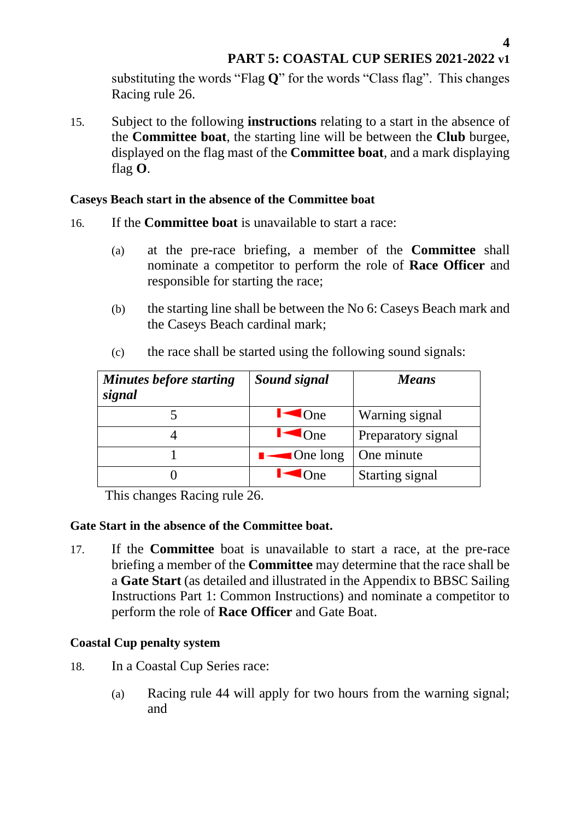substituting the words "Flag **Q**" for the words "Class flag". This changes Racing rule 26.

15. Subject to the following **instructions** relating to a start in the absence of the **Committee boat**, the starting line will be between the **Club** burgee, displayed on the flag mast of the **Committee boat**, and a mark displaying flag **O**.

#### <span id="page-3-0"></span>**Caseys Beach start in the absence of the Committee boat**

- 16. If the **Committee boat** is unavailable to start a race:
	- (a) at the pre-race briefing, a member of the **Committee** shall nominate a competitor to perform the role of **Race Officer** and responsible for starting the race;
	- (b) the starting line shall be between the No 6: Caseys Beach mark and the Caseys Beach cardinal mark;

| <b>Minutes before starting</b><br>signal | Sound signal            | <b>Means</b>       |
|------------------------------------------|-------------------------|--------------------|
|                                          | $\triangle$ One         | Warning signal     |
|                                          | $\blacksquare$ ( ) ne   | Preparatory signal |
|                                          | $\blacksquare$ One long | One minute         |
|                                          | l Ine                   | Starting signal    |

(c) the race shall be started using the following sound signals:

This changes Racing rule 26.

#### <span id="page-3-1"></span>**Gate Start in the absence of the Committee boat.**

17. If the **Committee** boat is unavailable to start a race, at the pre-race briefing a member of the **Committee** may determine that the race shall be a **Gate Start** (as detailed and illustrated in the Appendix to BBSC Sailing Instructions Part 1: Common Instructions) and nominate a competitor to perform the role of **Race Officer** and Gate Boat.

# <span id="page-3-2"></span>**Coastal Cup penalty system**

- 18. In a Coastal Cup Series race:
	- (a) Racing rule 44 will apply for two hours from the warning signal; and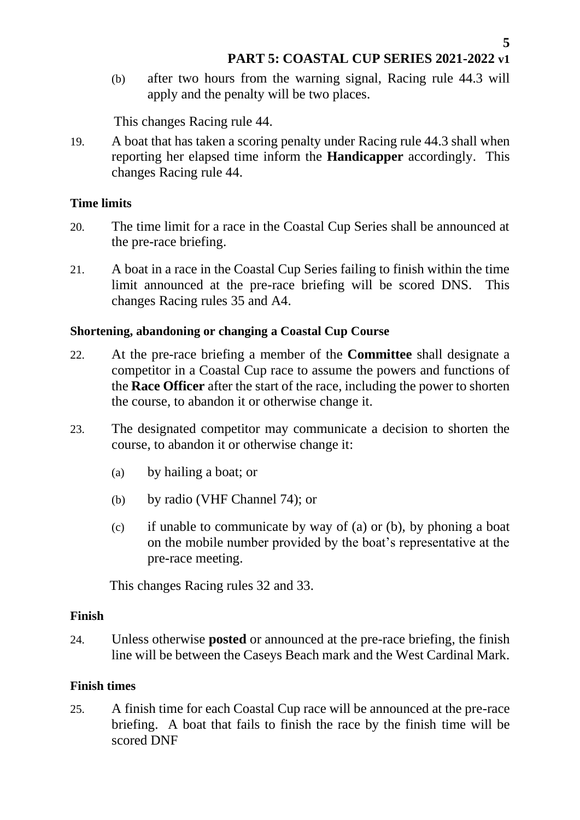(b) after two hours from the warning signal, Racing rule 44.3 will apply and the penalty will be two places.

This changes Racing rule 44.

19. A boat that has taken a scoring penalty under Racing rule 44.3 shall when reporting her elapsed time inform the **Handicapper** accordingly. This changes Racing rule 44.

### <span id="page-4-0"></span>**Time limits**

- 20. The time limit for a race in the Coastal Cup Series shall be announced at the pre-race briefing.
- 21. A boat in a race in the Coastal Cup Series failing to finish within the time limit announced at the pre-race briefing will be scored DNS. This changes Racing rules 35 and A4.

#### <span id="page-4-1"></span>**Shortening, abandoning or changing a Coastal Cup Course**

- 22. At the pre-race briefing a member of the **Committee** shall designate a competitor in a Coastal Cup race to assume the powers and functions of the **Race Officer** after the start of the race, including the power to shorten the course, to abandon it or otherwise change it.
- 23. The designated competitor may communicate a decision to shorten the course, to abandon it or otherwise change it:
	- (a) by hailing a boat; or
	- (b) by radio (VHF Channel 74); or
	- (c) if unable to communicate by way of (a) or (b), by phoning a boat on the mobile number provided by the boat's representative at the pre-race meeting.

This changes Racing rules 32 and 33.

#### <span id="page-4-2"></span>**Finish**

24. Unless otherwise **posted** or announced at the pre-race briefing, the finish line will be between the Caseys Beach mark and the West Cardinal Mark.

# <span id="page-4-3"></span>**Finish times**

25. A finish time for each Coastal Cup race will be announced at the pre-race briefing. A boat that fails to finish the race by the finish time will be scored DNF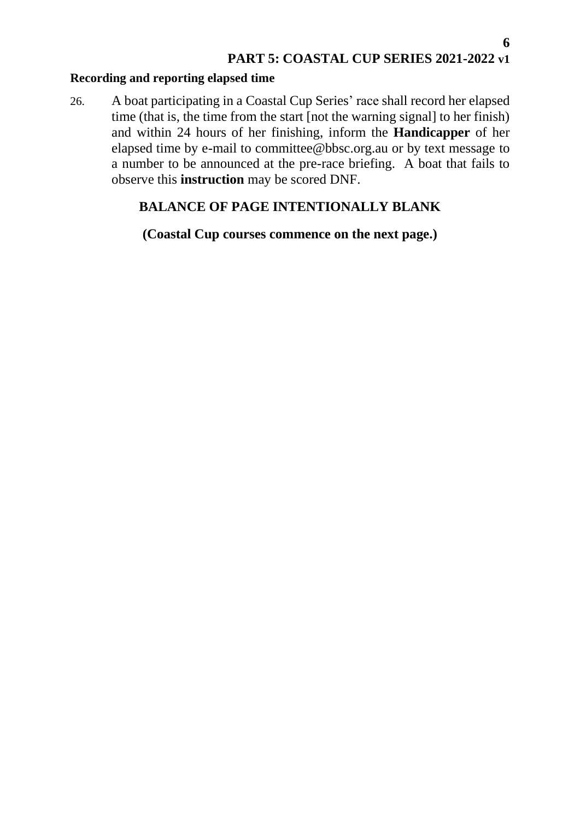#### <span id="page-5-0"></span>**Recording and reporting elapsed time**

26. A boat participating in a Coastal Cup Series' race shall record her elapsed time (that is, the time from the start [not the warning signal] to her finish) and within 24 hours of her finishing, inform the **Handicapper** of her elapsed time by e-mail to committee@bbsc.org.au or by text message to a number to be announced at the pre-race briefing. A boat that fails to observe this **instruction** may be scored DNF.

# **BALANCE OF PAGE INTENTIONALLY BLANK**

**(Coastal Cup courses commence on the next page.)**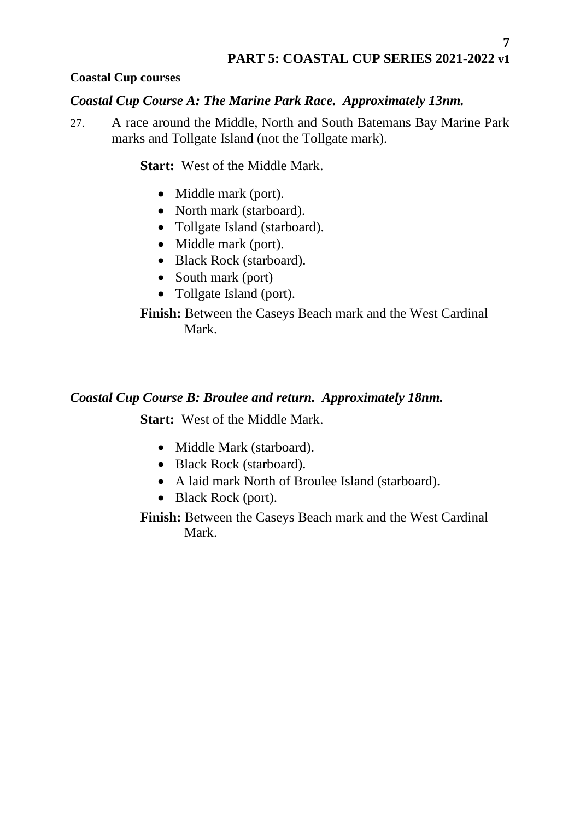# <span id="page-6-0"></span>**Coastal Cup courses**

#### <span id="page-6-1"></span>*Coastal Cup Course A: The Marine Park Race. Approximately 13nm.*

27. A race around the Middle, North and South Batemans Bay Marine Park marks and Tollgate Island (not the Tollgate mark).

**Start:** West of the Middle Mark.

- Middle mark (port).
- North mark (starboard).
- Tollgate Island (starboard).
- Middle mark (port).
- Black Rock (starboard).
- South mark (port)
- Tollgate Island (port).

# **Finish:** Between the Caseys Beach mark and the West Cardinal Mark.

# <span id="page-6-2"></span>*Coastal Cup Course B: Broulee and return. Approximately 18nm.*

**Start:** West of the Middle Mark.

- Middle Mark (starboard).
- Black Rock (starboard).
- A laid mark North of Broulee Island (starboard).
- Black Rock (port).

**Finish:** Between the Caseys Beach mark and the West Cardinal Mark.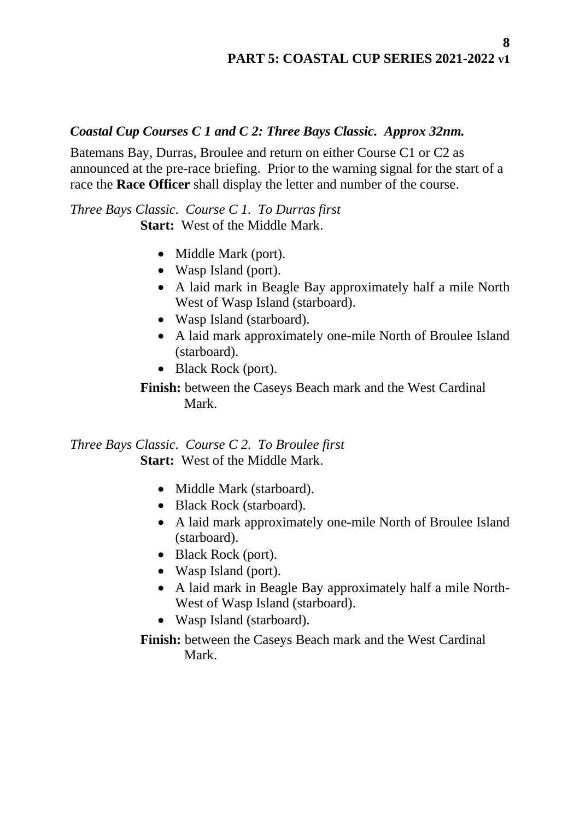# **PART 5: COASTAL CUP SERIES 2021-2022 v1**

#### <span id="page-7-0"></span>*Coastal Cup Courses C 1 and C 2: Three Bays Classic. Approx 32nm.*

Batemans Bay, Durras, Broulee and return on either Course C1 or C2 as announced at the pre-race briefing. Prior to the warning signal for the start of a race the **Race Officer** shall display the letter and number of the course.

*Three Bays Classic. Course C 1. To Durras first* **Start:** West of the Middle Mark.

- Middle Mark (port).
- Wasp Island (port).
- A laid mark in Beagle Bay approximately half a mile North West of Wasp Island (starboard).
- Wasp Island (starboard).
- A laid mark approximately one-mile North of Broulee Island (starboard).
- Black Rock (port).

**Finish:** between the Caseys Beach mark and the West Cardinal Mark.

*Three Bays Classic. Course C 2. To Broulee first* **Start:** West of the Middle Mark.

- Middle Mark (starboard).
- Black Rock (starboard).
- A laid mark approximately one-mile North of Broulee Island (starboard).
- Black Rock (port).
- Wasp Island (port).
- A laid mark in Beagle Bay approximately half a mile North-West of Wasp Island (starboard).
- Wasp Island (starboard).

**Finish:** between the Caseys Beach mark and the West Cardinal Mark.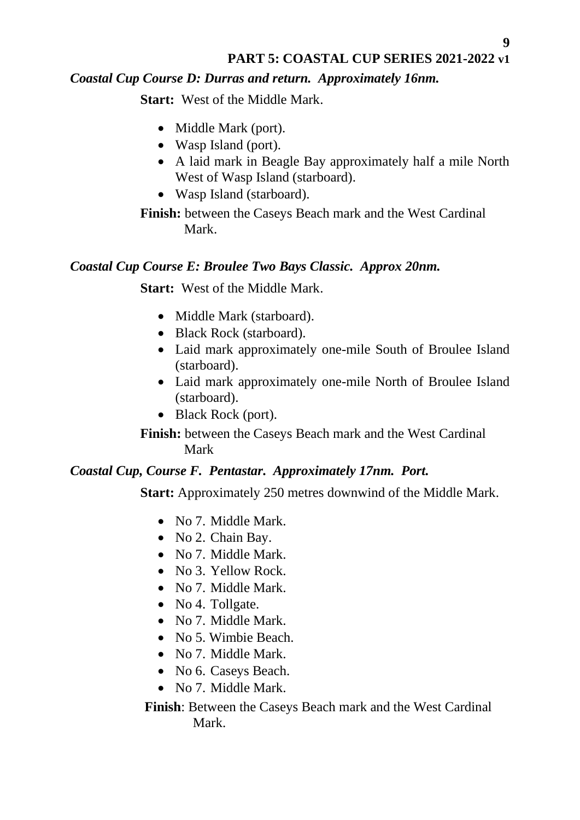# **PART 5: COASTAL CUP SERIES 2021-2022 v1**

# <span id="page-8-0"></span>*Coastal Cup Course D: Durras and return. Approximately 16nm.*

**Start:** West of the Middle Mark.

- Middle Mark (port).
- Wasp Island (port).
- A laid mark in Beagle Bay approximately half a mile North West of Wasp Island (starboard).
- Wasp Island (starboard).

**Finish:** between the Caseys Beach mark and the West Cardinal Mark.

#### <span id="page-8-1"></span>*Coastal Cup Course E: Broulee Two Bays Classic. Approx 20nm.*

**Start:** West of the Middle Mark.

- Middle Mark (starboard).
- Black Rock (starboard).
- Laid mark approximately one-mile South of Broulee Island (starboard).
- Laid mark approximately one-mile North of Broulee Island (starboard).
- Black Rock (port).

**Finish:** between the Caseys Beach mark and the West Cardinal Mark

#### <span id="page-8-2"></span>*Coastal Cup, Course F. Pentastar. Approximately 17nm. Port.*

**Start:** Approximately 250 metres downwind of the Middle Mark.

- No 7. Middle Mark.
- No 2. Chain Bay.
- No 7. Middle Mark.
- No 3. Yellow Rock.
- No 7. Middle Mark.
- No 4. Tollgate.
- No 7. Middle Mark.
- No 5. Wimbie Beach.
- No 7. Middle Mark.
- No 6. Caseys Beach.
- No 7. Middle Mark.

**Finish**: Between the Caseys Beach mark and the West Cardinal Mark.